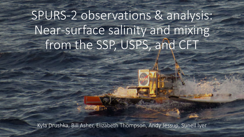# SPURS-2 observations & analysis: Near-surface salinity and mixing from the SSP, USPS, and CFT

Kyla Drushka, Bill Asher, Elizabeth Thompson, Andy Jessup, Suneil Iyer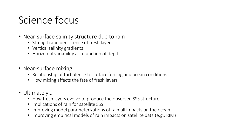#### Science focus

- Near-surface salinity structure due to rain
	- Strength and persistence of fresh layers
	- Vertical salinity gradients
	- Horizontal variability as a function of depth
- Near-surface mixing
	- Relationship of turbulence to surface forcing and ocean conditions
	- How mixing affects the fate of fresh layers
- Ultimately…
	- How fresh layers evolve to produce the observed SSS structure
	- Implications of rain for satellite SSS
	- Improving model parameterizations of rainfall impacts on the ocean
	- Improving empirical models of rain impacts on satellite data (e.g., RIM)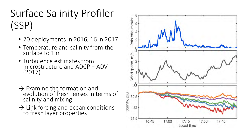## Surface Salinity Profiler (SSP)

- 20 deployments in 2016, 16 in 2017
- Temperature and salinity from the surface to 1 m
- Turbulence estimates from microstructure and ADCP + ADV (2017)
- $\rightarrow$  Examine the formation and evolution of fresh lenses in terms of salinity and mixing
- $\rightarrow$  Link forcing and ocean conditions to fresh layer properties

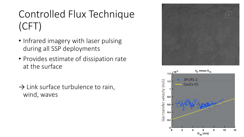# Controlled Flux Technique (CFT)

- Infrared imagery with laser pulsing during all SSP deployments
- Provides estimate of dissipation rate at the surface
- $\rightarrow$  Link surface turbulence to rain, wind, waves



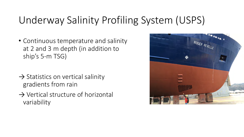#### Underway Salinity Profiling System (USPS)

- Continuous temperature and salinity at 2 and 3 m depth (in addition to ship's 5-m TSG)
- $\rightarrow$  Statistics on vertical salinity gradients from rain
- $\rightarrow$  Vertical structure of horizontal variability

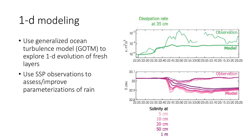# 1-d modeling

- Use generalized ocean turbulence model (GOTM) to explore 1-d evolution of fresh layers
- Use SSP observations to assess/improve parameterizations of rain

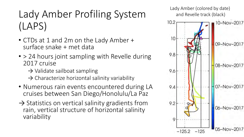# Lady Amber Profiling System (LAPS)

- CTDs at 1 and 2m on the Lady Amber + surface snake + met data
- > 24 hours joint sampling with Revelle during 2017 cruise
	- $\rightarrow$  Validate sailboat sampling
	- $\rightarrow$  Characterize horizontal salinity variability
- Numerous rain events encountered during LA cruises between San Diego/Honolulu/La Paz
- $\rightarrow$  Statistics on vertical salinity gradients from rain, vertical structure of horizontal salinity variability

Lady Amber (colored by date) and Revelle track (black)